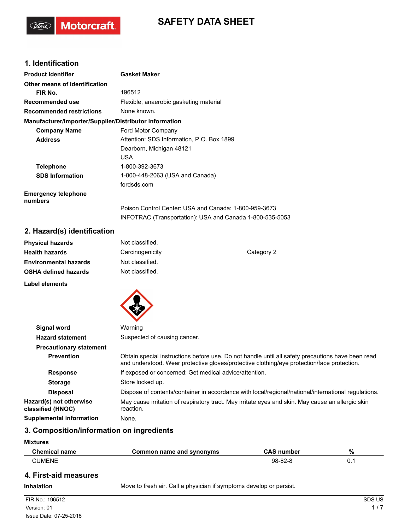# **SAFETY DATA SHEET**

## **1. Identification**

(Ford)

**Motorcraft** 

| <b>Product identifier</b>                              | <b>Gasket Maker</b>                                      |
|--------------------------------------------------------|----------------------------------------------------------|
| Other means of identification                          |                                                          |
| FIR No.                                                | 196512                                                   |
| Recommended use                                        | Flexible, anaerobic gasketing material                   |
| <b>Recommended restrictions</b>                        | None known.                                              |
| Manufacturer/Importer/Supplier/Distributor information |                                                          |
| <b>Company Name</b>                                    | Ford Motor Company                                       |
| <b>Address</b>                                         | Attention: SDS Information, P.O. Box 1899                |
|                                                        | Dearborn, Michigan 48121                                 |
|                                                        | <b>USA</b>                                               |
| <b>Telephone</b>                                       | 1-800-392-3673                                           |
| <b>SDS Information</b>                                 | 1-800-448-2063 (USA and Canada)                          |
|                                                        | fordsds.com                                              |
| <b>Emergency telephone</b><br>numbers                  |                                                          |
|                                                        | Poison Control Center: USA and Canada: 1-800-959-3673    |
|                                                        | INFOTRAC (Transportation): USA and Canada 1-800-535-5053 |

## **2. Hazard(s) identification**

| <b>Physical hazards</b>      | Not classified. |            |
|------------------------------|-----------------|------------|
| <b>Health hazards</b>        | Carcinogenicity | Category 2 |
| <b>Environmental hazards</b> | Not classified. |            |
| <b>OSHA defined hazards</b>  | Not classified. |            |
| Label elements               |                 |            |



| <b>Signal word</b>                           | Warning                                                                                                                                                                                         |
|----------------------------------------------|-------------------------------------------------------------------------------------------------------------------------------------------------------------------------------------------------|
| <b>Hazard statement</b>                      | Suspected of causing cancer.                                                                                                                                                                    |
| <b>Precautionary statement</b>               |                                                                                                                                                                                                 |
| <b>Prevention</b>                            | Obtain special instructions before use. Do not handle until all safety precautions have been read<br>and understood. Wear protective gloves/protective clothing/eye protection/face protection. |
| <b>Response</b>                              | If exposed or concerned: Get medical advice/attention.                                                                                                                                          |
| <b>Storage</b>                               | Store locked up.                                                                                                                                                                                |
| <b>Disposal</b>                              | Dispose of contents/container in accordance with local/regional/national/international regulations.                                                                                             |
| Hazard(s) not otherwise<br>classified (HNOC) | May cause irritation of respiratory tract. May irritate eyes and skin. May cause an allergic skin<br>reaction.                                                                                  |
| <b>Supplemental information</b>              | None.                                                                                                                                                                                           |
|                                              |                                                                                                                                                                                                 |

## **3. Composition/information on ingredients**

#### **Mixtures**

| <b>Chemical name</b> | Common name and synonyms | <b>CAS number</b> | % |
|----------------------|--------------------------|-------------------|---|
| CUMENE               |                          | 98-82-8           |   |

## **4. First-aid measures**

**Inhalation** Move to fresh air. Call a physician if symptoms develop or persist.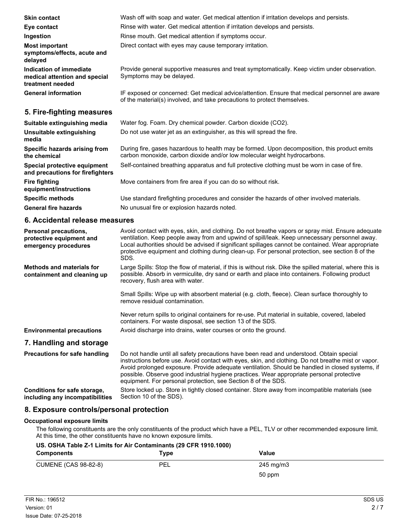| <b>Skin contact</b>                                                          | Wash off with soap and water. Get medical attention if irritation develops and persists.                                                                                   |
|------------------------------------------------------------------------------|----------------------------------------------------------------------------------------------------------------------------------------------------------------------------|
| Eye contact                                                                  | Rinse with water. Get medical attention if irritation develops and persists.                                                                                               |
| Ingestion                                                                    | Rinse mouth. Get medical attention if symptoms occur.                                                                                                                      |
| <b>Most important</b><br>symptoms/effects, acute and<br>delayed              | Direct contact with eyes may cause temporary irritation.                                                                                                                   |
| Indication of immediate<br>medical attention and special<br>treatment needed | Provide general supportive measures and treat symptomatically. Keep victim under observation.<br>Symptoms may be delayed.                                                  |
| <b>General information</b>                                                   | IF exposed or concerned: Get medical advice/attention. Ensure that medical personnel are aware<br>of the material(s) involved, and take precautions to protect themselves. |
| 5. Fire-fighting measures                                                    |                                                                                                                                                                            |
| Suitable extinguishing media                                                 | Water fog. Foam. Dry chemical powder. Carbon dioxide (CO2).                                                                                                                |
| Unsuitable extinguishing<br>media                                            | Do not use water jet as an extinguisher, as this will spread the fire.                                                                                                     |
| Specific hazards arising from<br>the chemical                                | During fire, gases hazardous to health may be formed. Upon decomposition, this product emits<br>carbon monoxide, carbon dioxide and/or low molecular weight hydrocarbons.  |
| Special protective equipment<br>and precautions for firefighters             | Self-contained breathing apparatus and full protective clothing must be worn in case of fire.                                                                              |
| <b>Fire fighting</b><br>equipment/instructions                               | Move containers from fire area if you can do so without risk.                                                                                                              |
| <b>Specific methods</b>                                                      | Use standard firefighting procedures and consider the hazards of other involved materials.                                                                                 |

General fire hazards **No unusual fire or explosion hazards noted.** 

#### **6. Accidental release measures**

| <b>Personal precautions,</b><br>protective equipment and<br>emergency procedures | Avoid contact with eyes, skin, and clothing. Do not breathe vapors or spray mist. Ensure adequate<br>ventilation. Keep people away from and upwind of spill/leak. Keep unnecessary personnel away.<br>Local authorities should be advised if significant spillages cannot be contained. Wear appropriate<br>protective equipment and clothing during clean-up. For personal protection, see section 8 of the<br>SDS.                                             |
|----------------------------------------------------------------------------------|------------------------------------------------------------------------------------------------------------------------------------------------------------------------------------------------------------------------------------------------------------------------------------------------------------------------------------------------------------------------------------------------------------------------------------------------------------------|
| <b>Methods and materials for</b><br>containment and cleaning up                  | Large Spills: Stop the flow of material, if this is without risk. Dike the spilled material, where this is<br>possible. Absorb in vermiculite, dry sand or earth and place into containers. Following product<br>recovery, flush area with water.                                                                                                                                                                                                                |
|                                                                                  | Small Spills: Wipe up with absorbent material (e.g. cloth, fleece). Clean surface thoroughly to<br>remove residual contamination.                                                                                                                                                                                                                                                                                                                                |
|                                                                                  | Never return spills to original containers for re-use. Put material in suitable, covered, labeled<br>containers. For waste disposal, see section 13 of the SDS.                                                                                                                                                                                                                                                                                                  |
| <b>Environmental precautions</b>                                                 | Avoid discharge into drains, water courses or onto the ground.                                                                                                                                                                                                                                                                                                                                                                                                   |
| 7. Handling and storage                                                          |                                                                                                                                                                                                                                                                                                                                                                                                                                                                  |
| <b>Precautions for safe handling</b>                                             | Do not handle until all safety precautions have been read and understood. Obtain special<br>instructions before use. Avoid contact with eyes, skin, and clothing. Do not breathe mist or vapor.<br>Avoid prolonged exposure. Provide adequate ventilation. Should be handled in closed systems, if<br>possible. Observe good industrial hygiene practices. Wear appropriate personal protective<br>equipment. For personal protection, see Section 8 of the SDS. |
| Conditions for safe storage,<br>including any incompatibilities                  | Store locked up. Store in tightly closed container. Store away from incompatible materials (see<br>Section 10 of the SDS).                                                                                                                                                                                                                                                                                                                                       |

## **8. Exposure controls/personal protection**

#### **Occupational exposure limits**

The following constituents are the only constituents of the product which have a PEL, TLV or other recommended exposure limit. At this time, the other constituents have no known exposure limits.

#### **US. OSHA Table Z-1 Limits for Air Contaminants (29 CFR 1910.1000)**

| Components                  | Type | Value     |
|-----------------------------|------|-----------|
| <b>CUMENE (CAS 98-82-8)</b> | PEL  | 245 mg/m3 |
|                             |      | 50 ppm    |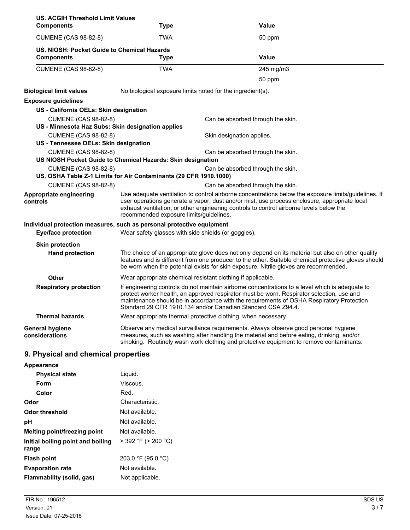| <b>US. ACGIH Threshold Limit Values</b><br><b>Components</b> |                                                                       | Value                                                                                                                                                                                                                                                                                                                                                    |  |
|--------------------------------------------------------------|-----------------------------------------------------------------------|----------------------------------------------------------------------------------------------------------------------------------------------------------------------------------------------------------------------------------------------------------------------------------------------------------------------------------------------------------|--|
|                                                              | Type                                                                  |                                                                                                                                                                                                                                                                                                                                                          |  |
| <b>CUMENE (CAS 98-82-8)</b>                                  | <b>TWA</b>                                                            | 50 ppm                                                                                                                                                                                                                                                                                                                                                   |  |
| US. NIOSH: Pocket Guide to Chemical Hazards                  |                                                                       |                                                                                                                                                                                                                                                                                                                                                          |  |
| <b>Components</b>                                            | <b>Type</b>                                                           | Value                                                                                                                                                                                                                                                                                                                                                    |  |
| <b>CUMENE (CAS 98-82-8)</b>                                  | <b>TWA</b>                                                            | 245 mg/m3                                                                                                                                                                                                                                                                                                                                                |  |
|                                                              |                                                                       | 50 ppm                                                                                                                                                                                                                                                                                                                                                   |  |
| <b>Biological limit values</b>                               |                                                                       | No biological exposure limits noted for the ingredient(s).                                                                                                                                                                                                                                                                                               |  |
| <b>Exposure guidelines</b>                                   |                                                                       |                                                                                                                                                                                                                                                                                                                                                          |  |
| US - California OELs: Skin designation                       |                                                                       |                                                                                                                                                                                                                                                                                                                                                          |  |
| <b>CUMENE (CAS 98-82-8)</b>                                  |                                                                       | Can be absorbed through the skin.                                                                                                                                                                                                                                                                                                                        |  |
|                                                              | US - Minnesota Haz Subs: Skin designation applies                     |                                                                                                                                                                                                                                                                                                                                                          |  |
| <b>CUMENE (CAS 98-82-8)</b>                                  |                                                                       | Skin designation applies.                                                                                                                                                                                                                                                                                                                                |  |
| US - Tennessee OELs: Skin designation                        |                                                                       |                                                                                                                                                                                                                                                                                                                                                          |  |
| <b>CUMENE (CAS 98-82-8)</b>                                  |                                                                       | Can be absorbed through the skin.                                                                                                                                                                                                                                                                                                                        |  |
|                                                              | US NIOSH Pocket Guide to Chemical Hazards: Skin designation           |                                                                                                                                                                                                                                                                                                                                                          |  |
| <b>CUMENE (CAS 98-82-8)</b>                                  | US. OSHA Table Z-1 Limits for Air Contaminants (29 CFR 1910.1000)     | Can be absorbed through the skin.                                                                                                                                                                                                                                                                                                                        |  |
| <b>CUMENE (CAS 98-82-8)</b>                                  |                                                                       | Can be absorbed through the skin.                                                                                                                                                                                                                                                                                                                        |  |
| Appropriate engineering                                      |                                                                       | Use adequate ventilation to control airborne concentrations below the exposure limits/guidelines. If                                                                                                                                                                                                                                                     |  |
| controls                                                     |                                                                       | user operations generate a vapor, dust and/or mist, use process enclosure, appropriate local<br>exhaust ventilation, or other engineering controls to control airborne levels below the<br>recommended exposure limits/guidelines.                                                                                                                       |  |
|                                                              | Individual protection measures, such as personal protective equipment |                                                                                                                                                                                                                                                                                                                                                          |  |
| <b>Eye/face protection</b>                                   | Wear safety glasses with side shields (or goggles).                   |                                                                                                                                                                                                                                                                                                                                                          |  |
| <b>Skin protection</b>                                       |                                                                       |                                                                                                                                                                                                                                                                                                                                                          |  |
| <b>Hand protection</b>                                       |                                                                       | The choice of an appropriate glove does not only depend on its material but also on other quality<br>features and is different from one producer to the other. Suitable chemical protective gloves should<br>be worn when the potential exists for skin exposure. Nitrile gloves are recommended.                                                        |  |
| Other                                                        |                                                                       | Wear appropriate chemical resistant clothing if applicable.                                                                                                                                                                                                                                                                                              |  |
| <b>Respiratory protection</b>                                |                                                                       | If engineering controls do not maintain airborne concentrations to a level which is adequate to<br>protect worker health, an approved respirator must be worn. Respirator selection, use and<br>maintenance should be in accordance with the requirements of OSHA Respiratory Protection<br>Standard 29 CFR 1910.134 and/or Canadian Standard CSA Z94.4. |  |
| <b>Thermal hazards</b>                                       |                                                                       | Wear appropriate thermal protective clothing, when necessary.                                                                                                                                                                                                                                                                                            |  |
| <b>General hygiene</b><br>considerations                     |                                                                       | Observe any medical surveillance requirements. Always observe good personal hygiene<br>measures, such as washing after handling the material and before eating, drinking, and/or<br>smoking. Routinely wash work clothing and protective equipment to remove contaminants.                                                                               |  |
| Dhusalaal amal ahamataal                                     | -----                                                                 |                                                                                                                                                                                                                                                                                                                                                          |  |

## **9. Physical and chemical properties**

| Appearance                                 |                          |
|--------------------------------------------|--------------------------|
| <b>Physical state</b>                      | Liquid.                  |
| Form                                       | Viscous.                 |
| Color                                      | Red.                     |
| Odor                                       | Characteristic.          |
| Odor threshold                             | Not available.           |
| рH                                         | Not available.           |
| Melting point/freezing point               | Not available.           |
| Initial boiling point and boiling<br>range | $>$ 392 °F ( $>$ 200 °C) |
| <b>Flash point</b>                         | 203.0 °F (95.0 °C)       |
| <b>Evaporation rate</b>                    | Not available.           |
| Flammability (solid, gas)                  | Not applicable.          |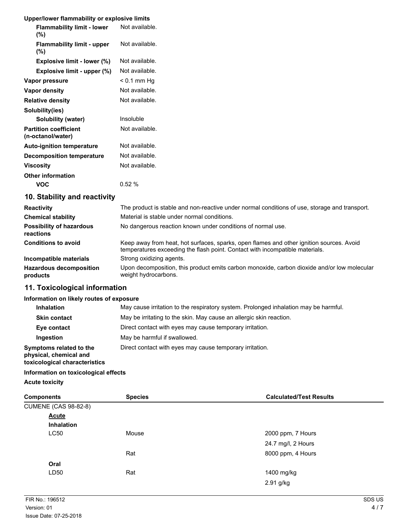### **Upper/lower flammability or explosive limits**

| opponower nammaomty or explosive mints            |                |
|---------------------------------------------------|----------------|
| <b>Flammability limit - lower</b><br>(%)          | Not available. |
| <b>Flammability limit - upper</b><br>(%)          | Not available. |
| Explosive limit - lower (%)                       | Not available. |
| Explosive limit - upper (%)                       | Not available. |
| Vapor pressure                                    | < 0.1 mm Hg    |
| Vapor density                                     | Not available. |
| <b>Relative density</b>                           | Not available. |
| Solubility(ies)                                   |                |
| Solubility (water)                                | Insoluble      |
| <b>Partition coefficient</b><br>(n-octanol/water) | Not available. |
| <b>Auto-ignition temperature</b>                  | Not available. |
| <b>Decomposition temperature</b>                  | Not available. |
| <b>Viscosity</b>                                  | Not available. |
| <b>Other information</b>                          |                |
| VOC                                               | 0.52%          |

## **10. Stability and reactivity**

| <b>Reactivity</b>                            | The product is stable and non-reactive under normal conditions of use, storage and transport.<br>Material is stable under normal conditions.                             |
|----------------------------------------------|--------------------------------------------------------------------------------------------------------------------------------------------------------------------------|
| <b>Chemical stability</b>                    |                                                                                                                                                                          |
| <b>Possibility of hazardous</b><br>reactions | No dangerous reaction known under conditions of normal use.                                                                                                              |
| <b>Conditions to avoid</b>                   | Keep away from heat, hot surfaces, sparks, open flames and other ignition sources. Avoid<br>temperatures exceeding the flash point. Contact with incompatible materials. |
| Incompatible materials                       | Strong oxidizing agents.                                                                                                                                                 |
| <b>Hazardous decomposition</b><br>products   | Upon decomposition, this product emits carbon monoxide, carbon dioxide and/or low molecular<br>weight hydrocarbons.                                                      |

## **11. Toxicological information**

#### **Information on likely routes of exposure**

| <b>Inhalation</b>                                                                  | May cause irritation to the respiratory system. Prolonged inhalation may be harmful. |
|------------------------------------------------------------------------------------|--------------------------------------------------------------------------------------|
| <b>Skin contact</b>                                                                | May be irritating to the skin. May cause an allergic skin reaction.                  |
| Eye contact                                                                        | Direct contact with eyes may cause temporary irritation.                             |
| Ingestion                                                                          | May be harmful if swallowed.                                                         |
| Symptoms related to the<br>physical, chemical and<br>toxicological characteristics | Direct contact with eyes may cause temporary irritation.                             |

#### **Information on toxicological effects**

**Acute toxicity**

| <b>Components</b>           | <b>Species</b> | <b>Calculated/Test Results</b> |
|-----------------------------|----------------|--------------------------------|
| <b>CUMENE (CAS 98-82-8)</b> |                |                                |
| <b>Acute</b>                |                |                                |
| <b>Inhalation</b>           |                |                                |
| LC50                        | Mouse          | 2000 ppm, 7 Hours              |
|                             |                | 24.7 mg/l, 2 Hours             |
|                             | Rat            | 8000 ppm, 4 Hours              |
| Oral                        |                |                                |
| LD50                        | Rat            | 1400 mg/kg                     |
|                             |                | 2.91 g/kg                      |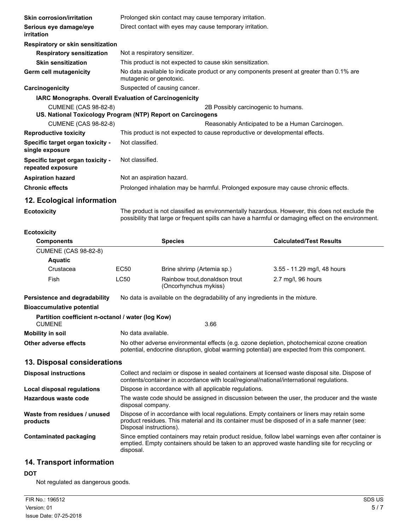| <b>Skin corrosion/irritation</b>                              | Prolonged skin contact may cause temporary irritation.                                                              |  |  |
|---------------------------------------------------------------|---------------------------------------------------------------------------------------------------------------------|--|--|
| Serious eye damage/eye<br>irritation                          | Direct contact with eyes may cause temporary irritation.                                                            |  |  |
| Respiratory or skin sensitization                             |                                                                                                                     |  |  |
| <b>Respiratory sensitization</b>                              | Not a respiratory sensitizer.                                                                                       |  |  |
| <b>Skin sensitization</b>                                     | This product is not expected to cause skin sensitization.                                                           |  |  |
| Germ cell mutagenicity                                        | No data available to indicate product or any components present at greater than 0.1% are<br>mutagenic or genotoxic. |  |  |
| Carcinogenicity                                               | Suspected of causing cancer.                                                                                        |  |  |
| <b>IARC Monographs. Overall Evaluation of Carcinogenicity</b> |                                                                                                                     |  |  |
| <b>CUMENE (CAS 98-82-8)</b>                                   | 2B Possibly carcinogenic to humans.<br>US. National Toxicology Program (NTP) Report on Carcinogens                  |  |  |
| <b>CUMENE (CAS 98-82-8)</b>                                   | Reasonably Anticipated to be a Human Carcinogen.                                                                    |  |  |
| <b>Reproductive toxicity</b>                                  | This product is not expected to cause reproductive or developmental effects.                                        |  |  |
| Specific target organ toxicity -<br>single exposure           | Not classified.                                                                                                     |  |  |
| Specific target organ toxicity -<br>repeated exposure         | Not classified.                                                                                                     |  |  |
| <b>Aspiration hazard</b>                                      | Not an aspiration hazard.                                                                                           |  |  |
| <b>Chronic effects</b>                                        | Prolonged inhalation may be harmful. Prolonged exposure may cause chronic effects.                                  |  |  |
| 12. Ecological information                                    |                                                                                                                     |  |  |
| <b>Ecotoxicity</b>                                            | The product is not classified as environmentally hazardous. However, this does not exclude the                      |  |  |

The product is not classified as environmentally hazardous. However, this does not exclude the possibility that large or frequent spills can have a harmful or damaging effect on the environment.

| <b>Ecotoxicity</b>                                                 |                                                                                                                                                                                                                        |                                                         |                                |  |  |
|--------------------------------------------------------------------|------------------------------------------------------------------------------------------------------------------------------------------------------------------------------------------------------------------------|---------------------------------------------------------|--------------------------------|--|--|
| <b>Components</b>                                                  |                                                                                                                                                                                                                        | <b>Species</b>                                          | <b>Calculated/Test Results</b> |  |  |
| <b>CUMENE (CAS 98-82-8)</b>                                        |                                                                                                                                                                                                                        |                                                         |                                |  |  |
| <b>Aquatic</b>                                                     |                                                                                                                                                                                                                        |                                                         |                                |  |  |
| Crustacea                                                          | EC <sub>50</sub>                                                                                                                                                                                                       | Brine shrimp (Artemia sp.)                              | 3.55 - 11.29 mg/l, 48 hours    |  |  |
| Fish                                                               | <b>LC50</b>                                                                                                                                                                                                            | Rainbow trout, donaldson trout<br>(Oncorhynchus mykiss) | 2.7 mg/l, 96 hours             |  |  |
| Persistence and degradability                                      | No data is available on the degradability of any ingredients in the mixture.                                                                                                                                           |                                                         |                                |  |  |
| <b>Bioaccumulative potential</b>                                   |                                                                                                                                                                                                                        |                                                         |                                |  |  |
| Partition coefficient n-octanol / water (log Kow)<br><b>CUMENE</b> |                                                                                                                                                                                                                        | 3.66                                                    |                                |  |  |
|                                                                    |                                                                                                                                                                                                                        |                                                         |                                |  |  |
| <b>Mobility in soil</b>                                            | No data available.                                                                                                                                                                                                     |                                                         |                                |  |  |
| Other adverse effects                                              | No other adverse environmental effects (e.g. ozone depletion, photochemical ozone creation<br>potential, endocrine disruption, global warming potential) are expected from this component.                             |                                                         |                                |  |  |
| 13. Disposal considerations                                        |                                                                                                                                                                                                                        |                                                         |                                |  |  |
| <b>Disposal instructions</b>                                       | Collect and reclaim or dispose in sealed containers at licensed waste disposal site. Dispose of<br>contents/container in accordance with local/regional/national/international regulations.                            |                                                         |                                |  |  |
| Local disposal regulations                                         | Dispose in accordance with all applicable regulations.                                                                                                                                                                 |                                                         |                                |  |  |
| <b>Hazardous waste code</b>                                        | The waste code should be assigned in discussion between the user, the producer and the waste<br>disposal company.                                                                                                      |                                                         |                                |  |  |
| Waste from residues / unused<br>products                           | Dispose of in accordance with local regulations. Empty containers or liners may retain some<br>product residues. This material and its container must be disposed of in a safe manner (see:<br>Disposal instructions). |                                                         |                                |  |  |
| <b>Contaminated packaging</b>                                      | Since emptied containers may retain product residue, follow label warnings even after container is<br>emptied. Empty containers should be taken to an approved waste handling site for recycling or<br>disposal.       |                                                         |                                |  |  |

## **14. Transport information**

## **DOT**

Not regulated as dangerous goods.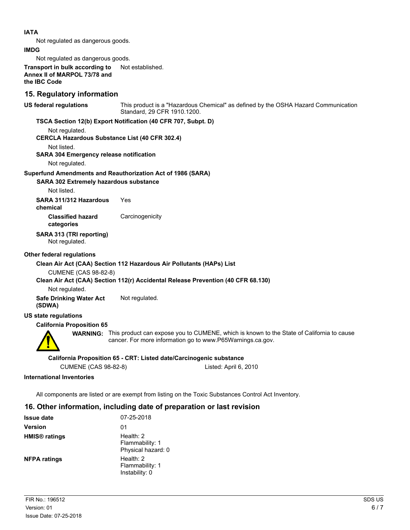#### **IATA**

Not regulated as dangerous goods.

#### **IMDG**

Not regulated as dangerous goods.

**Transport in bulk according to** Not established. **Annex II of MARPOL 73/78 and the IBC Code**

### **15. Regulatory information**

This product is a "Hazardous Chemical" as defined by the OSHA Hazard Communication Standard, 29 CFR 1910.1200. **US federal regulations**

#### **TSCA Section 12(b) Export Notification (40 CFR 707, Subpt. D)**

Not regulated.

**CERCLA Hazardous Substance List (40 CFR 302.4)**

Not listed.

#### **SARA 304 Emergency release notification**

Not regulated.

#### **Superfund Amendments and Reauthorization Act of 1986 (SARA)**

#### **SARA 302 Extremely hazardous substance**

Not listed.

**SARA 311/312 Hazardous** Yes **chemical**

**Classified hazard** Carcinogenicity

# **categories**

**SARA 313 (TRI reporting)**

Not regulated.

#### **Other federal regulations**

#### **Clean Air Act (CAA) Section 112 Hazardous Air Pollutants (HAPs) List**

CUMENE (CAS 98-82-8)

#### **Clean Air Act (CAA) Section 112(r) Accidental Release Prevention (40 CFR 68.130)**

Not regulated.

**Safe Drinking Water Act** Not regulated. **(SDWA)**

#### **US state regulations**

#### **California Proposition 65**



**WARNING:** This product can expose you to CUMENE, which is known to the State of California to cause cancer. For more information go to www.P65Warnings.ca.gov.

#### **California Proposition 65 - CRT: Listed date/Carcinogenic substance**

CUMENE (CAS 98-82-8) Listed: April 6, 2010

#### **International Inventories**

All components are listed or are exempt from listing on the Toxic Substances Control Act Inventory.

## **16. Other information, including date of preparation or last revision**

| <b>Issue date</b>               | 07-25-2018                                           |
|---------------------------------|------------------------------------------------------|
| <b>Version</b>                  | 01                                                   |
| <b>HMIS<sup>®</sup></b> ratings | Health: $2$<br>Flammability: 1<br>Physical hazard: 0 |
| <b>NFPA ratings</b>             | Health: $2$<br>Flammability: 1<br>Instability: 0     |